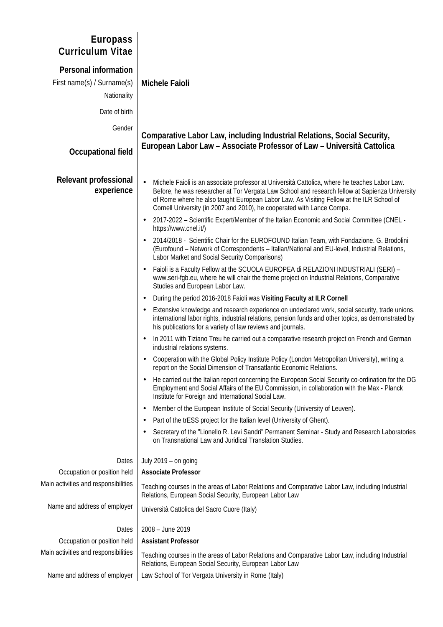| <b>Europass</b><br><b>Curriculum Vitae</b>                               |                                                                                                                                                                                                                                                                                                                                                                                    |
|--------------------------------------------------------------------------|------------------------------------------------------------------------------------------------------------------------------------------------------------------------------------------------------------------------------------------------------------------------------------------------------------------------------------------------------------------------------------|
| <b>Personal information</b><br>First name(s) / Surname(s)<br>Nationality | <b>Michele Faioli</b>                                                                                                                                                                                                                                                                                                                                                              |
| Date of birth                                                            |                                                                                                                                                                                                                                                                                                                                                                                    |
| Gender<br><b>Occupational field</b>                                      | Comparative Labor Law, including Industrial Relations, Social Security,<br>European Labor Law - Associate Professor of Law - Università Cattolica                                                                                                                                                                                                                                  |
|                                                                          |                                                                                                                                                                                                                                                                                                                                                                                    |
| <b>Relevant professional</b><br>experience                               | Michele Faioli is an associate professor at Università Cattolica, where he teaches Labor Law.<br>$\bullet$<br>Before, he was researcher at Tor Vergata Law School and research fellow at Sapienza University<br>of Rome where he also taught European Labor Law. As Visiting Fellow at the ILR School of<br>Cornell University (in 2007 and 2010), he cooperated with Lance Compa. |
|                                                                          | 2017-2022 - Scientific Expert/Member of the Italian Economic and Social Committee (CNEL -<br>$\bullet$<br>https://www.cnel.it/)                                                                                                                                                                                                                                                    |
|                                                                          | 2014/2018 - Scientific Chair for the EUROFOUND Italian Team, with Fondazione. G. Brodolini<br>$\bullet$<br>(Eurofound - Network of Correspondents - Italian/National and EU-level, Industrial Relations,<br>Labor Market and Social Security Comparisons)                                                                                                                          |
|                                                                          | Faioli is a Faculty Fellow at the SCUOLA EUROPEA di RELAZIONI INDUSTRIALI (SERI) -<br>$\bullet$<br>www.seri-fgb.eu, where he will chair the theme project on Industrial Relations, Comparative<br>Studies and European Labor Law.                                                                                                                                                  |
|                                                                          | During the period 2016-2018 Faioli was Visiting Faculty at ILR Cornell<br>$\bullet$                                                                                                                                                                                                                                                                                                |
|                                                                          | Extensive knowledge and research experience on undeclared work, social security, trade unions,<br>$\bullet$<br>international labor rights, industrial relations, pension funds and other topics, as demonstrated by<br>his publications for a variety of law reviews and journals.                                                                                                 |
|                                                                          | In 2011 with Tiziano Treu he carried out a comparative research project on French and German<br>$\bullet$<br>industrial relations systems.                                                                                                                                                                                                                                         |
|                                                                          | Cooperation with the Global Policy Institute Policy (London Metropolitan University), writing a<br>$\bullet$<br>report on the Social Dimension of Transatlantic Economic Relations.                                                                                                                                                                                                |
|                                                                          | He carried out the Italian report concerning the European Social Security co-ordination for the DG<br>$\bullet$<br>Employment and Social Affairs of the EU Commission, in collaboration with the Max - Planck<br>Institute for Foreign and International Social Law.                                                                                                               |
|                                                                          | Member of the European Institute of Social Security (University of Leuven).<br>$\bullet$                                                                                                                                                                                                                                                                                           |
|                                                                          | Part of the trESS project for the Italian level (University of Ghent).<br>$\bullet$                                                                                                                                                                                                                                                                                                |
|                                                                          | Secretary of the "Lionello R. Levi Sandri" Permanent Seminar - Study and Research Laboratories<br>$\bullet$<br>on Transnational Law and Juridical Translation Studies.                                                                                                                                                                                                             |
| Dates                                                                    | July 2019 - on going                                                                                                                                                                                                                                                                                                                                                               |
| Occupation or position held                                              | <b>Associate Professor</b>                                                                                                                                                                                                                                                                                                                                                         |
| Main activities and responsibilities                                     | Teaching courses in the areas of Labor Relations and Comparative Labor Law, including Industrial<br>Relations, European Social Security, European Labor Law                                                                                                                                                                                                                        |
| Name and address of employer                                             | Università Cattolica del Sacro Cuore (Italy)                                                                                                                                                                                                                                                                                                                                       |
| Dates                                                                    | 2008 - June 2019                                                                                                                                                                                                                                                                                                                                                                   |
| Occupation or position held                                              | <b>Assistant Professor</b>                                                                                                                                                                                                                                                                                                                                                         |
| Main activities and responsibilities                                     | Teaching courses in the areas of Labor Relations and Comparative Labor Law, including Industrial<br>Relations, European Social Security, European Labor Law                                                                                                                                                                                                                        |
| Name and address of employer                                             | Law School of Tor Vergata University in Rome (Italy)                                                                                                                                                                                                                                                                                                                               |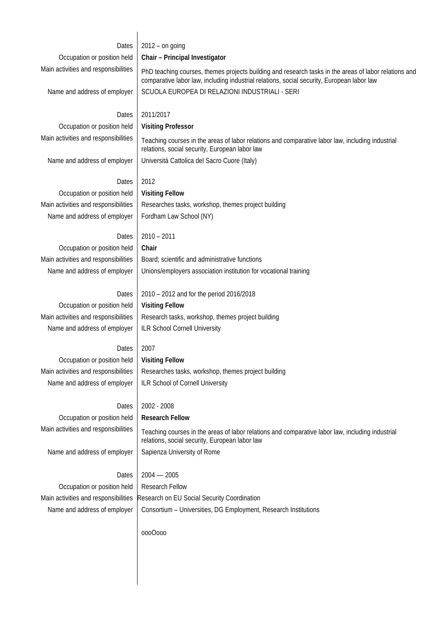| Dates                                | $2012 - on going$                                                                                                                                                                                   |
|--------------------------------------|-----------------------------------------------------------------------------------------------------------------------------------------------------------------------------------------------------|
| Occupation or position held          | Chair - Principal Investigator                                                                                                                                                                      |
| Main activities and responsibilities | PhD teaching courses, themes projects building and research tasks in the areas of labor relations and<br>comparative labor law, including industrial relations, social security, European labor law |
| Name and address of employer         | SCUOLA EUROPEA DI RELAZIONI INDUSTRIALI - SERI                                                                                                                                                      |
| Dates                                | 2011/2017                                                                                                                                                                                           |
| Occupation or position held          | <b>Visiting Professor</b>                                                                                                                                                                           |
| Main activities and responsibilities | Teaching courses in the areas of labor relations and comparative labor law, including industrial<br>relations, social security, European labor law                                                  |
| Name and address of employer         | Università Cattolica del Sacro Cuore (Italy)                                                                                                                                                        |
| Dates                                | 2012                                                                                                                                                                                                |
| Occupation or position held          | <b>Visiting Fellow</b>                                                                                                                                                                              |
| Main activities and responsibilities | Researches tasks, workshop, themes project building                                                                                                                                                 |
| Name and address of employer         | Fordham Law School (NY)                                                                                                                                                                             |
|                                      |                                                                                                                                                                                                     |
| Dates                                | $2010 - 2011$                                                                                                                                                                                       |
| Occupation or position held          | Chair                                                                                                                                                                                               |
| Main activities and responsibilities | Board; scientific and administrative functions                                                                                                                                                      |
| Name and address of employer         | Unions/employers association institution for vocational training                                                                                                                                    |
|                                      |                                                                                                                                                                                                     |
| Dates                                | 2010 - 2012 and for the period 2016/2018                                                                                                                                                            |
| Occupation or position held          | <b>Visiting Fellow</b>                                                                                                                                                                              |
| Main activities and responsibilities | Research tasks, workshop, themes project building                                                                                                                                                   |
| Name and address of employer         | <b>ILR School Cornell University</b>                                                                                                                                                                |
|                                      |                                                                                                                                                                                                     |
| Dates                                | 2007                                                                                                                                                                                                |
| Occupation or position held          | <b>Visiting Fellow</b>                                                                                                                                                                              |
| Main activities and responsibilities | Researches tasks, workshop, themes project building                                                                                                                                                 |
| Name and address of employer         | ILR School of Cornell University                                                                                                                                                                    |
| Dates                                | 2002 - 2008                                                                                                                                                                                         |
| Occupation or position held          | <b>Research Fellow</b>                                                                                                                                                                              |
| Main activities and responsibilities |                                                                                                                                                                                                     |
|                                      | Teaching courses in the areas of labor relations and comparative labor law, including industrial<br>relations, social security, European labor law                                                  |
| Name and address of employer         | Sapienza University of Rome                                                                                                                                                                         |
| Dates                                | $2004 - 2005$                                                                                                                                                                                       |
| Occupation or position held          | <b>Research Fellow</b>                                                                                                                                                                              |
| Main activities and responsibilities | Research on EU Social Security Coordination                                                                                                                                                         |
| Name and address of employer         | Consortium - Universities, DG Employment, Research Institutions                                                                                                                                     |
|                                      |                                                                                                                                                                                                     |
|                                      | 0000000                                                                                                                                                                                             |
|                                      |                                                                                                                                                                                                     |
|                                      |                                                                                                                                                                                                     |
|                                      |                                                                                                                                                                                                     |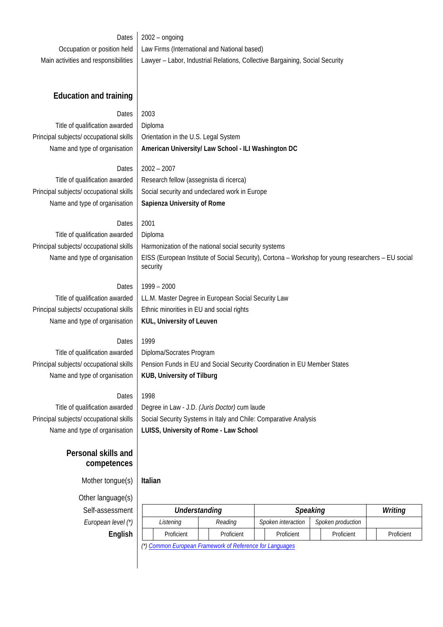Dates  $\vert$  2002 – ongoing Occupation or position held | Law Firms (International and National based) Main activities and responsibilities | Lawyer – Labor, Industrial Relations, Collective Bargaining, Social Security

# **Education and training**

# Dates 2003

Title of qualification awarded | Diploma Principal subjects/ occupational skills | Orientation in the U.S. Legal System

Name and type of organisation | American University/ Law School - ILI Washington DC

Dates  $\vert$  2002 – 2007 Title of qualification awarded  $\parallel$  Research fellow (assegnista di ricerca) Principal subjects/ occupational skills  $\parallel$  Social security and undeclared work in Europe Name and type of organisation **Sapienza University of Rome**

# Dates 2001

Title of qualification awarded  $\vert$  Diploma Principal subjects/ occupational skills | Harmonization of the national social security systems Name and type of organisation EISS (European Institute of Social Security), Cortona – Workshop for young researchers – EU social

Dates |  $1999 - 2000$ Title of qualification awarded | LL.M. Master Degree in European Social Security Law Principal subjects/ occupational skills Ethnic minorities in EU and social rights Name and type of organisation **KUL, University of Leuven**

Dates 1999

security

Title of qualification awarded | Diploma/Socrates Program Name and type of organisation **KUB, University of Tilburg** 

Principal subjects/ occupational skills | Pension Funds in EU and Social Security Coordination in EU Member States

Dates 1998

Title of qualification awarded Degree in Law - J.D. *(Juris Doctor)* cum laude Principal subjects/ occupational skills  $\parallel$  Social Security Systems in Italy and Chile: Comparative Analysis Name and type of organisation **LUISS, University of Rome - Law School**

# **Personal skills and competences**

Mother tongue(s) **Italian**

Other language(s) Self-assessment *Understanding Speaking Writing European level (\*)* 

| ,           |          |               |            |                 |                    |  |                   |         |            |
|-------------|----------|---------------|------------|-----------------|--------------------|--|-------------------|---------|------------|
| essment     |          | Understanding |            | <b>Speaking</b> |                    |  |                   | Writing |            |
| า level (*) |          | Listening     | Reading    |                 | Spoken interaction |  | Spoken production |         |            |
| English     |          | Proficient    | Proficient |                 | Proficient         |  | Proficient        |         | Proficient |
|             | $\cdots$ |               |            |                 |                    |  |                   |         |            |

*(\*) Common European Framework of Reference for Languages*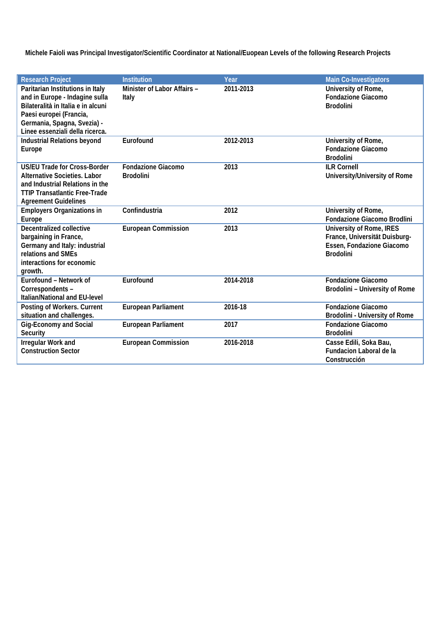**Michele Faioli was Principal Investigator/Scientific Coordinator at National/Euopean Levels of the following Research Projects**

| <b>Research Project</b>                                                                                                                                                                               | <b>Institution</b>                            | Year      | <b>Main Co-Investigators</b>                                                                                      |
|-------------------------------------------------------------------------------------------------------------------------------------------------------------------------------------------------------|-----------------------------------------------|-----------|-------------------------------------------------------------------------------------------------------------------|
| Paritarian Institutions in Italy<br>and in Europe - Indagine sulla<br>Bilateralità in Italia e in alcuni<br>Paesi europei (Francia,<br>Germania, Spagna, Svezia) -<br>Linee essenziali della ricerca. | Minister of Labor Affairs -<br>Italy          | 2011-2013 | University of Rome,<br><b>Fondazione Giacomo</b><br><b>Brodolini</b>                                              |
| <b>Industrial Relations beyond</b><br>Europe                                                                                                                                                          | Eurofound                                     | 2012-2013 | University of Rome,<br><b>Fondazione Giacomo</b><br><b>Brodolini</b>                                              |
| <b>US/EU Trade for Cross-Border</b><br><b>Alternative Societies, Labor</b><br>and Industrial Relations in the<br><b>TTIP Transatlantic Free-Trade</b><br><b>Agreement Guidelines</b>                  | <b>Fondazione Giacomo</b><br><b>Brodolini</b> | 2013      | <b>ILR Cornell</b><br>University/University of Rome                                                               |
| <b>Employers Organizations in</b><br>Europe                                                                                                                                                           | Confindustria                                 | 2012      | University of Rome,<br><b>Fondazione Giacomo Brodlini</b>                                                         |
| <b>Decentralized collective</b><br>bargaining in France,<br>Germany and Italy: industrial<br>relations and SMEs<br>interactions for economic<br>growth.                                               | <b>European Commission</b>                    | 2013      | <b>University of Rome, IRES</b><br>France, Universität Duisburg-<br>Essen, Fondazione Giacomo<br><b>Brodolini</b> |
| Eurofound - Network of<br>Correspondents -<br><b>Italian/National and EU-level</b>                                                                                                                    | Eurofound                                     | 2014-2018 | <b>Fondazione Giacomo</b><br>Brodolini - University of Rome                                                       |
| Posting of Workers. Current<br>situation and challenges.                                                                                                                                              | <b>European Parliament</b>                    | 2016-18   | <b>Fondazione Giacomo</b><br><b>Brodolini - University of Rome</b>                                                |
| <b>Gig-Economy and Social</b><br><b>Security</b>                                                                                                                                                      | <b>European Parliament</b>                    | 2017      | <b>Fondazione Giacomo</b><br><b>Brodolini</b>                                                                     |
| Irregular Work and<br><b>Construction Sector</b>                                                                                                                                                      | <b>European Commission</b>                    | 2016-2018 | Casse Edili, Soka Bau,<br><b>Fundacion Laboral de la</b><br>Construcción                                          |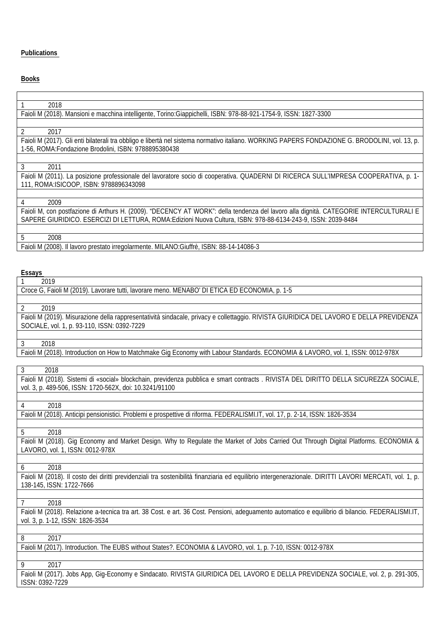# **Publications**

# **Books**

| 2018                                                                                                                                                   |
|--------------------------------------------------------------------------------------------------------------------------------------------------------|
| Faioli M (2018). Mansioni e macchina intelligente, Torino:Giappichelli, ISBN: 978-88-921-1754-9, ISSN: 1827-3300                                       |
|                                                                                                                                                        |
| 2<br>2017                                                                                                                                              |
| Faioli M (2017). Gli enti bilaterali tra obbligo e libertà nel sistema normativo italiano. WORKING PAPERS FONDAZIONE G. BRODOLINI, vol. 13, p.         |
| 1-56, ROMA: Fondazione Brodolini, ISBN: 9788895380438                                                                                                  |
|                                                                                                                                                        |
|                                                                                                                                                        |
| 3<br>2011                                                                                                                                              |
| Faioli M (2011). La posizione professionale del lavoratore socio di cooperativa. QUADERNI DI RICERCA SULL'IMPRESA COOPERATIVA, p. 1-                   |
| 111, ROMA: ISICOOP, ISBN: 9788896343098                                                                                                                |
|                                                                                                                                                        |
| 2009<br>4                                                                                                                                              |
|                                                                                                                                                        |
| Faioli M, con postfazione di Arthurs H. (2009). "DECENCY AT WORK": della tendenza del lavoro alla dignità. CATEGORIE INTERCULTURALI E                  |
| SAPERE GIURIDICO. ESERCIZI DI LETTURA, ROMA: Edizioni Nuova Cultura, ISBN: 978-88-6134-243-9, ISSN: 2039-8484                                          |
|                                                                                                                                                        |
| 2008<br>5                                                                                                                                              |
| Faioli M (2008). Il lavoro prestato irregolarmente. MILANO:Giuffrè, ISBN: 88-14-14086-3                                                                |
|                                                                                                                                                        |
|                                                                                                                                                        |
|                                                                                                                                                        |
| Essays                                                                                                                                                 |
| 2019                                                                                                                                                   |
| Croce G, Faioli M (2019). Lavorare tutti, lavorare meno. MENABO' DI ETICA ED ECONOMIA, p. 1-5                                                          |
|                                                                                                                                                        |
| 2019<br>2                                                                                                                                              |
| Faioli M (2019). Misurazione della rappresentatività sindacale, privacy e collettaggio. RIVISTA GIURIDICA DEL LAVORO E DELLA PREVIDENZA                |
|                                                                                                                                                        |
| SOCIALE, vol. 1, p. 93-110, ISSN: 0392-7229                                                                                                            |
|                                                                                                                                                        |
| 2018<br>3                                                                                                                                              |
| Faioli M (2018). Introduction on How to Matchmake Gig Economy with Labour Standards. ECONOMIA & LAVORO, vol. 1, ISSN: 0012-978X                        |
|                                                                                                                                                        |
| 3<br>2018                                                                                                                                              |
| Faioli M (2018). Sistemi di «social» blockchain, previdenza pubblica e smart contracts . RIVISTA DEL DIRITTO DELLA SICUREZZA SOCIALE,                  |
|                                                                                                                                                        |
| vol. 3, p. 489-506, ISSN: 1720-562X, doi: 10.3241/91100                                                                                                |
|                                                                                                                                                        |
| 2018<br>4                                                                                                                                              |
| Faioli M (2018). Anticipi pensionistici. Problemi e prospettive di riforma. FEDERALISMI.IT, vol. 17, p. 2-14, ISSN: 1826-3534                          |
|                                                                                                                                                        |
| 5<br>2018                                                                                                                                              |
|                                                                                                                                                        |
| Faioli M (2018). Gig Economy and Market Design. Why to Regulate the Market of Jobs Carried Out Through Digital Platforms. ECONOMIA &                   |
| LAVORO, vol. 1, ISSN: 0012-978X                                                                                                                        |
|                                                                                                                                                        |
| 2018<br>6                                                                                                                                              |
|                                                                                                                                                        |
|                                                                                                                                                        |
| Faioli M (2018). Il costo dei diritti previdenziali tra sostenibilità finanziaria ed equilibrio intergenerazionale. DIRITTI LAVORI MERCATI, vol. 1, p. |
| 138-145, ISSN: 1722-7666                                                                                                                               |
|                                                                                                                                                        |
| 2018<br>7                                                                                                                                              |
| Faioli M (2018). Relazione a-tecnica tra art. 38 Cost. e art. 36 Cost. Pensioni, adeguamento automatico e equilibrio di bilancio. FEDERALISMI.IT,      |
| vol. 3, p. 1-12, ISSN: 1826-3534                                                                                                                       |
|                                                                                                                                                        |
|                                                                                                                                                        |
| 2017<br>8                                                                                                                                              |
| Faioli M (2017). Introduction. The EUBS without States?. ECONOMIA & LAVORO, vol. 1, p. 7-10, ISSN: 0012-978X                                           |
|                                                                                                                                                        |
| 9<br>2017                                                                                                                                              |
|                                                                                                                                                        |
| Faioli M (2017). Jobs App, Gig-Economy e Sindacato. RIVISTA GIURIDICA DEL LAVORO E DELLA PREVIDENZA SOCIALE, vol. 2, p. 291-305,                       |
| ISSN: 0392-7229                                                                                                                                        |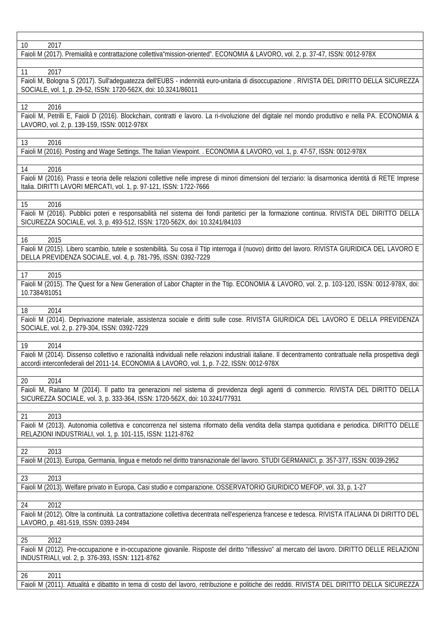| 10<br>2017                                                                                                                                                                                                                                              |
|---------------------------------------------------------------------------------------------------------------------------------------------------------------------------------------------------------------------------------------------------------|
| Faioli M (2017). Premialità e contrattazione collettiva"mission-oriented". ECONOMIA & LAVORO, vol. 2, p. 37-47, ISSN: 0012-978X                                                                                                                         |
|                                                                                                                                                                                                                                                         |
| 2017<br>11<br>Faioli M, Bologna S (2017). Sull'adeguatezza dell'EUBS - indennità euro-unitaria di disoccupazione . RIVISTA DEL DIRITTO DELLA SICUREZZA<br>SOCIALE, vol. 1, p. 29-52, ISSN: 1720-562X, doi: 10.3241/86011                                |
| 12<br>2016                                                                                                                                                                                                                                              |
| Faioli M, Petrilli E, Faioli D (2016). Blockchain, contratti e lavoro. La ri-rivoluzione del digitale nel mondo produttivo e nella PA. ECONOMIA &<br>LAVORO, vol. 2, p. 139-159, ISSN: 0012-978X                                                        |
| 13<br>2016                                                                                                                                                                                                                                              |
| Faioli M (2016). Posting and Wage Settings. The Italian Viewpoint. . ECONOMIA & LAVORO, vol. 1, p. 47-57, ISSN: 0012-978X                                                                                                                               |
| 2016<br>14                                                                                                                                                                                                                                              |
| Faioli M (2016). Prassi e teoria delle relazioni collettive nelle imprese di minori dimensioni del terziario: la disarmonica identità di RETE Imprese<br>Italia. DIRITTI LAVORI MERCATI, vol. 1, p. 97-121, ISSN: 1722-7666                             |
| 2016<br>15                                                                                                                                                                                                                                              |
| Faioli M (2016). Pubblici poteri e responsabilità nel sistema dei fondi paritetici per la formazione continua. RIVISTA DEL DIRITTO DELLA<br>SICUREZZA SOCIALE, vol. 3, p. 493-512, ISSN: 1720-562X, doi: 10.3241/84103                                  |
| 16<br>2015                                                                                                                                                                                                                                              |
| Faioli M (2015). Libero scambio, tutele e sostenibilità. Su cosa il Ttip interroga il (nuovo) diritto del lavoro. RIVISTA GIURIDICA DEL LAVORO E<br>DELLA PREVIDENZA SOCIALE, vol. 4, p. 781-795, ISSN: 0392-7229                                       |
| 17<br>2015                                                                                                                                                                                                                                              |
| Faioli M (2015). The Quest for a New Generation of Labor Chapter in the Ttip. ECONOMIA & LAVORO, vol. 2, p. 103-120, ISSN: 0012-978X, doi:<br>10.7384/81051                                                                                             |
| 2014<br>18                                                                                                                                                                                                                                              |
| Faioli M (2014). Deprivazione materiale, assistenza sociale e diritti sulle cose. RIVISTA GIURIDICA DEL LAVORO E DELLA PREVIDENZA<br>SOCIALE, vol. 2, p. 279-304, ISSN: 0392-7229                                                                       |
| 19<br>2014                                                                                                                                                                                                                                              |
| Faioli M (2014). Dissenso collettivo e razionalità individuali nelle relazioni industriali italiane. Il decentramento contrattuale nella prospettiva degli<br>accordi interconfederali del 2011-14. ECONOMIA & LAVORO, vol. 1, p. 7-22, ISSN: 0012-978X |
|                                                                                                                                                                                                                                                         |
| 2014<br>20<br>Faioli M, Raitano M (2014). Il patto tra generazioni nel sistema di previdenza degli agenti di commercio. RIVISTA DEL DIRITTO DELLA<br>SICUREZZA SOCIALE, vol. 3, p. 333-364, ISSN: 1720-562X, doi: 10.3241/77931                         |
| 2013                                                                                                                                                                                                                                                    |
| 21<br>Faioli M (2013). Autonomia collettiva e concorrenza nel sistema riformato della vendita della stampa quotidiana e periodica. DIRITTO DELLE<br>RELAZIONI INDUSTRIALI, vol. 1, p. 101-115, ISSN: 1121-8762                                          |
|                                                                                                                                                                                                                                                         |
| 2013<br>22<br>Faioli M (2013). Europa, Germania, lingua e metodo nel diritto transnazionale del lavoro. STUDI GERMANICI, p. 357-377, ISSN: 0039-2952                                                                                                    |
| 2013<br>23                                                                                                                                                                                                                                              |
| Faioli M (2013). Welfare privato in Europa, Casi studio e comparazione. OSSERVATORIO GIURIDICO MEFOP, vol. 33, p. 1-27                                                                                                                                  |
| 2012<br>24<br>Faioli M (2012). Oltre la continuità. La contrattazione collettiva decentrata nell'esperienza francese e tedesca. RIVISTA ITALIANA DI DIRITTO DEL<br>LAVORO, p. 481-519, ISSN: 0393-2494                                                  |
| 2012<br>25                                                                                                                                                                                                                                              |
| Faioli M (2012). Pre-occupazione e in-occupazione giovanile. Risposte del diritto "riflessivo" al mercato del lavoro. DIRITTO DELLE RELAZIONI<br>INDUSTRIALI, vol. 2, p. 376-393, ISSN: 1121-8762                                                       |
| 2011<br>26<br>Faioli M (2011). Attualità e dibattito in tema di costo del lavoro, retribuzione e politiche dei redditi. RIVISTA DEL DIRITTO DELLA SICUREZZA                                                                                             |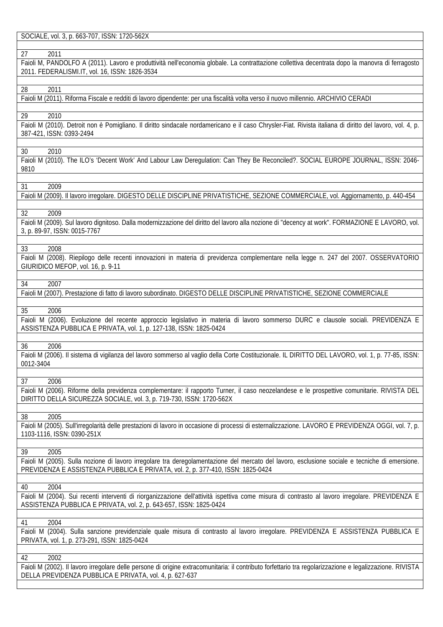SOCIALE, vol. 3, p. 663-707, ISSN: 1720-562X

### 27 2011

Faioli M, PANDOLFO A (2011). Lavoro e produttività nell'economia globale. La contrattazione collettiva decentrata dopo la manovra di ferragosto 2011. FEDERALISMI.IT, vol. 16, ISSN: 1826-3534

#### 28 2011

Faioli M (2011). Riforma Fiscale e redditi di lavoro dipendente: per una fiscalità volta verso il nuovo millennio. ARCHIVIO CERADI

#### 29 2010

Faioli M (2010). Detroit non è Pomigliano. Il diritto sindacale nordamericano e il caso Chrysler-Fiat. Rivista italiana di diritto del lavoro, vol. 4, p. 387-421, ISSN: 0393-2494

# 30 2010

Faioli M (2010). The ILO's 'Decent Work' And Labour Law Deregulation: Can They Be Reconciled?. SOCIAL EUROPE JOURNAL, ISSN: 2046- 9810

#### 31 2009

Faioli M (2009). Il lavoro irregolare. DIGESTO DELLE DISCIPLINE PRIVATISTICHE, SEZIONE COMMERCIALE, vol. Aggiornamento, p. 440-454

#### 32 2009

Faioli M (2009). Sul lavoro dignitoso. Dalla modernizzazione del diritto del lavoro alla nozione di "decency at work". FORMAZIONE E LAVORO, vol. 3, p. 89-97, ISSN: 0015-7767

#### 33 2008

Faioli M (2008). Riepilogo delle recenti innovazioni in materia di previdenza complementare nella legge n. 247 del 2007. OSSERVATORIO GIURIDICO MEFOP, vol. 16, p. 9-11

# 34 2007

Faioli M (2007). Prestazione di fatto di lavoro subordinato. DIGESTO DELLE DISCIPLINE PRIVATISTICHE, SEZIONE COMMERCIALE

#### 35 2006

Faioli M (2006). Evoluzione del recente approccio legislativo in materia di lavoro sommerso DURC e clausole sociali. PREVIDENZA E ASSISTENZA PUBBLICA E PRIVATA, vol. 1, p. 127-138, ISSN: 1825-0424

#### 36 2006

Faioli M (2006). Il sistema di vigilanza del lavoro sommerso al vaglio della Corte Costituzionale. IL DIRITTO DEL LAVORO, vol. 1, p. 77-85, ISSN: 0012-3404

#### 37 2006

Faioli M (2006). Riforme della previdenza complementare: il rapporto Turner, il caso neozelandese e le prospettive comunitarie. RIVISTA DEL DIRITTO DELLA SICUREZZA SOCIALE, vol. 3, p. 719-730, ISSN: 1720-562X

#### 38 2005

Faioli M (2005). Sull'irregolarità delle prestazioni di lavoro in occasione di processi di esternalizzazione. LAVORO E PREVIDENZA OGGI, vol. 7, p. 1103-1116, ISSN: 0390-251X

### 39 2005

Faioli M (2005). Sulla nozione di lavoro irregolare tra deregolamentazione del mercato del lavoro, esclusione sociale e tecniche di emersione. PREVIDENZA E ASSISTENZA PUBBLICA E PRIVATA, vol. 2, p. 377-410, ISSN: 1825-0424

#### 40 2004

Faioli M (2004). Sui recenti interventi di riorganizzazione dell'attività ispettiva come misura di contrasto al lavoro irregolare. PREVIDENZA E ASSISTENZA PUBBLICA E PRIVATA, vol. 2, p. 643-657, ISSN: 1825-0424

### 41 2004

Faioli M (2004). Sulla sanzione previdenziale quale misura di contrasto al lavoro irregolare. PREVIDENZA E ASSISTENZA PUBBLICA E PRIVATA, vol. 1, p. 273-291, ISSN: 1825-0424

# 42 2002

Faioli M (2002). Il lavoro irregolare delle persone di origine extracomunitaria: il contributo forfettario tra regolarizzazione e legalizzazione. RIVISTA DELLA PREVIDENZA PUBBLICA E PRIVATA, vol. 4, p. 627-637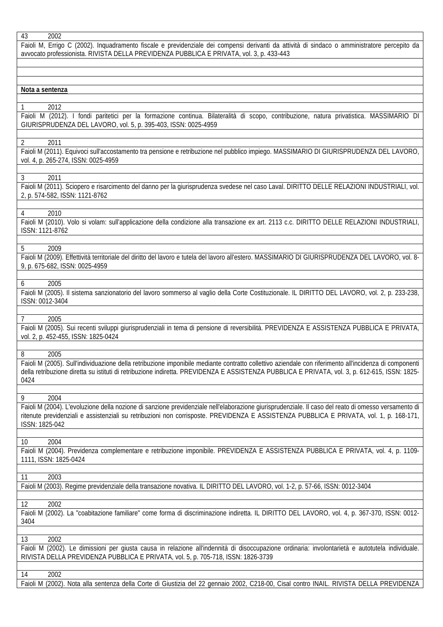| Faioli M, Errigo C (2002). Inquadramento fiscale e previdenziale dei compensi derivanti da attività di sindaco o amministratore percepito da<br>avvocato professionista. RIVISTA DELLA PREVIDENZA PUBBLICA E PRIVATA, vol. 3, p. 433-443                                                                                       |
|--------------------------------------------------------------------------------------------------------------------------------------------------------------------------------------------------------------------------------------------------------------------------------------------------------------------------------|
|                                                                                                                                                                                                                                                                                                                                |
| Nota a sentenza                                                                                                                                                                                                                                                                                                                |
|                                                                                                                                                                                                                                                                                                                                |
| 2012<br>1<br>Faioli M (2012). I fondi paritetici per la formazione continua. Bilateralità di scopo, contribuzione, natura privatistica. MASSIMARIO DI<br>GIURISPRUDENZA DEL LAVORO, vol. 5, p. 395-403, ISSN: 0025-4959                                                                                                        |
| $\overline{2}$<br>2011                                                                                                                                                                                                                                                                                                         |
| Faioli M (2011). Equivoci sull'accostamento tra pensione e retribuzione nel pubblico impiego. MASSIMARIO DI GIURISPRUDENZA DEL LAVORO,<br>vol. 4, p. 265-274, ISSN: 0025-4959                                                                                                                                                  |
| $\mathfrak{Z}$<br>2011                                                                                                                                                                                                                                                                                                         |
| Faioli M (2011). Sciopero e risarcimento del danno per la giurisprudenza svedese nel caso Laval. DIRITTO DELLE RELAZIONI INDUSTRIALI, vol.<br>2, p. 574-582, ISSN: 1121-8762                                                                                                                                                   |
| 2010<br>4                                                                                                                                                                                                                                                                                                                      |
| Faioli M (2010). Volo si volam: sull'applicazione della condizione alla transazione ex art. 2113 c.c. DIRITTO DELLE RELAZIONI INDUSTRIALI,<br>ISSN: 1121-8762                                                                                                                                                                  |
| 5<br>2009                                                                                                                                                                                                                                                                                                                      |
| Faioli M (2009). Effettività territoriale del diritto del lavoro e tutela del lavoro all'estero. MASSIMARIO DI GIURISPRUDENZA DEL LAVORO, vol. 8-<br>9, p. 675-682, ISSN: 0025-4959                                                                                                                                            |
| 2005<br>6                                                                                                                                                                                                                                                                                                                      |
| Faioli M (2005). Il sistema sanzionatorio del lavoro sommerso al vaglio della Corte Costituzionale. IL DIRITTO DEL LAVORO, vol. 2, p. 233-238,<br>ISSN: 0012-3404                                                                                                                                                              |
| $\overline{7}$<br>2005                                                                                                                                                                                                                                                                                                         |
| Faioli M (2005). Sui recenti sviluppi giurisprudenziali in tema di pensione di reversibilità. PREVIDENZA E ASSISTENZA PUBBLICA E PRIVATA,<br>vol. 2, p. 452-455, ISSN: 1825-0424                                                                                                                                               |
| 2005<br>8                                                                                                                                                                                                                                                                                                                      |
| Faioli M (2005). Sull'individuazione della retribuzione imponibile mediante contratto collettivo aziendale con riferimento all'incidenza di componenti<br>della retribuzione diretta su istituti di retribuzione indiretta. PREVIDENZA E ASSISTENZA PUBBLICA E PRIVATA, vol. 3, p. 612-615, ISSN: 1825-<br>0424                |
|                                                                                                                                                                                                                                                                                                                                |
| 9<br>2004<br>Faioli M (2004). L'evoluzione della nozione di sanzione previdenziale nell'elaborazione giurisprudenziale. Il caso del reato di omesso versamento di<br>ritenute previdenziali e assistenziali su retribuzioni non corrisposte. PREVIDENZA E ASSISTENZA PUBBLICA E PRIVATA, vol. 1, p. 168-171,<br>ISSN: 1825-042 |
|                                                                                                                                                                                                                                                                                                                                |
| 2004<br>10<br>Faioli M (2004). Previdenza complementare e retribuzione imponibile. PREVIDENZA E ASSISTENZA PUBBLICA E PRIVATA, vol. 4, p. 1109-<br>1111, ISSN: 1825-0424                                                                                                                                                       |
| 2003<br>11                                                                                                                                                                                                                                                                                                                     |
| Faioli M (2003). Regime previdenziale della transazione novativa. IL DIRITTO DEL LAVORO, vol. 1-2, p. 57-66, ISSN: 0012-3404                                                                                                                                                                                                   |
| 2002<br>12                                                                                                                                                                                                                                                                                                                     |
| Faioli M (2002). La "coabitazione familiare" come forma di discriminazione indiretta. IL DIRITTO DEL LAVORO, vol. 4, p. 367-370, ISSN: 0012-<br>3404                                                                                                                                                                           |
| 13<br>2002                                                                                                                                                                                                                                                                                                                     |
| Faioli M (2002). Le dimissioni per giusta causa in relazione all'indennità di disoccupazione ordinaria: involontarietà e autotutela individuale.<br>RIVISTA DELLA PREVIDENZA PUBBLICA E PRIVATA, vol. 5, p. 705-718, ISSN: 1826-3739                                                                                           |
| 2002<br>14                                                                                                                                                                                                                                                                                                                     |
| Faioli M (2002). Nota alla sentenza della Corte di Giustizia del 22 gennaio 2002, C218-00, Cisal contro INAIL. RIVISTA DELLA PREVIDENZA                                                                                                                                                                                        |
|                                                                                                                                                                                                                                                                                                                                |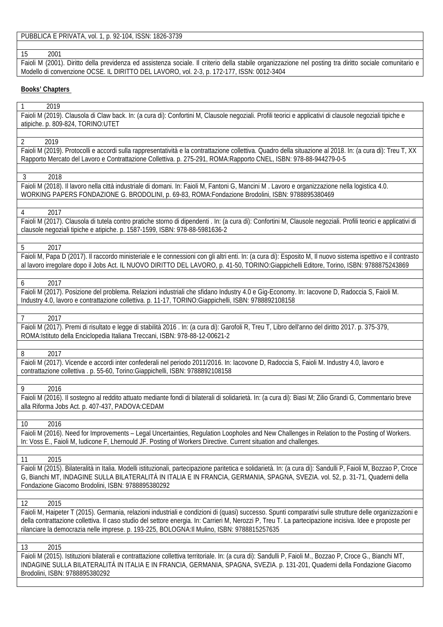PUBBLICA E PRIVATA, vol. 1, p. 92-104, ISSN: 1826-3739

# 15 2001

Faioli M (2001). Diritto della previdenza ed assistenza sociale. Il criterio della stabile organizzazione nel posting tra diritto sociale comunitario e Modello di convenzione OCSE. IL DIRITTO DEL LAVORO, vol. 2-3, p. 172-177, ISSN: 0012-3404

# **Books' Chapters**

| 2019                                                                                                                                                     |
|----------------------------------------------------------------------------------------------------------------------------------------------------------|
| Faioli M (2019). Clausola di Claw back. In: (a cura di): Confortini M, Clausole negoziali. Profili teorici e applicativi di clausole negoziali tipiche e |
| atipiche. p. 809-824, TORINO:UTET                                                                                                                        |

2 2019

Faioli M (2019). Protocolli e accordi sulla rappresentatività e la contrattazione collettiva. Quadro della situazione al 2018. In: (a cura di): Treu T, XX Rapporto Mercato del Lavoro e Contrattazione Collettiva. p. 275-291, ROMA:Rapporto CNEL, ISBN: 978-88-944279-0-5

3 2018

Faioli M (2018). Il lavoro nella città industriale di domani. In: Faioli M, Fantoni G, Mancini M . Lavoro e organizzazione nella logistica 4.0. WORKING PAPERS FONDAZIONE G. BRODOLINI, p. 69-83, ROMA:Fondazione Brodolini, ISBN: 9788895380469

### 4 2017

Faioli M (2017). Clausola di tutela contro pratiche storno di dipendenti . In: (a cura di): Confortini M, Clausole negoziali. Profili teorici e applicativi di clausole negoziali tipiche e atipiche. p. 1587-1599, ISBN: 978-88-5981636-2

### 5 2017

Faioli M, Papa D (2017). Il raccordo ministeriale e le connessioni con gli altri enti. In: (a cura di): Esposito M, Il nuovo sistema ispettivo e il contrasto al lavoro irregolare dopo il Jobs Act. IL NUOVO DIRITTO DEL LAVORO, p. 41-50, TORINO:Giappichelli Editore, Torino, ISBN: 9788875243869

### 6 2017

Faioli M (2017). Posizione del problema. Relazioni industriali che sfidano Industry 4.0 e Gig-Economy. In: Iacovone D, Radoccia S, Faioli M. Industry 4.0, lavoro e contrattazione collettiva. p. 11-17, TORINO:Giappichelli, ISBN: 9788892108158

#### 7 2017

Faioli M (2017). Premi di risultato e legge di stabilità 2016 . In: (a cura di): Garofoli R, Treu T, Libro dell'anno del diritto 2017. p. 375-379, ROMA:Istituto della Enciclopedia Italiana Treccani, ISBN: 978-88-12-00621-2

#### 8 2017

Faioli M (2017). Vicende e accordi inter confederali nel periodo 2011/2016. In: Iacovone D, Radoccia S, Faioli M. Industry 4.0, lavoro e contrattazione collettiva . p. 55-60, Torino:Giappichelli, ISBN: 9788892108158

### 9 2016

Faioli M (2016). Il sostegno al reddito attuato mediante fondi di bilaterali di solidarietà. In: (a cura di): Biasi M; Zilio Grandi G, Commentario breve alla Riforma Jobs Act. p. 407-437, PADOVA:CEDAM

10 2016

Faioli M (2016). Need for Improvements – Legal Uncertainties, Regulation Loopholes and New Challenges in Relation to the Posting of Workers. In: Voss E., Faioli M, Iudicone F, Lhernould JF. Posting of Workers Directive. Current situation and challenges.

# 11 2015

Faioli M (2015). Bilateralità in Italia. Modelli istituzionali, partecipazione paritetica e solidarietà. In: (a cura di): Sandulli P, Faioli M, Bozzao P, Croce G, Bianchi MT, INDAGINE SULLA BILATERALITÀ IN ITALIA E IN FRANCIA, GERMANIA, SPAGNA, SVEZIA. vol. 52, p. 31-71, Quaderni della Fondazione Giacomo Brodolini, ISBN: 9788895380292

# 12 2015

Faioli M, Haipeter T (2015). Germania, relazioni industriali e condizioni di (quasi) successo. Spunti comparativi sulle strutture delle organizzazioni e della contrattazione collettiva. Il caso studio del settore energia. In: Carrieri M, Nerozzi P, Treu T. La partecipazione incisiva. Idee e proposte per rilanciare la democrazia nelle imprese. p. 193-225, BOLOGNA:Il Mulino, ISBN: 9788815257635

#### 13 2015

Faioli M (2015). Istituzioni bilaterali e contrattazione collettiva territoriale. In: (a cura di): Sandulli P, Faioli M., Bozzao P, Croce G., Bianchi MT, INDAGINE SULLA BILATERALITÀ IN ITALIA E IN FRANCIA, GERMANIA, SPAGNA, SVEZIA. p. 131-201, Quaderni della Fondazione Giacomo Brodolini, ISBN: 9788895380292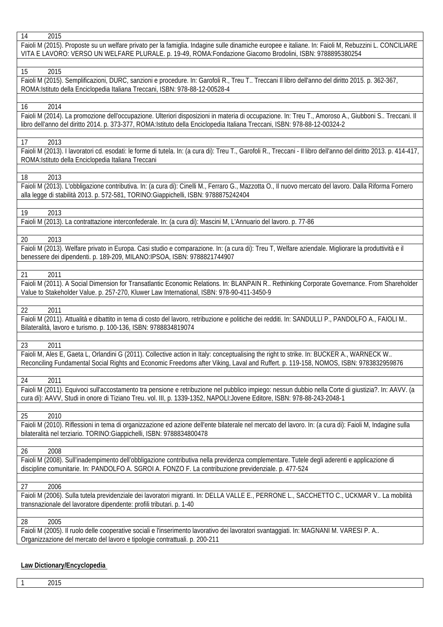| 14<br>2015                                                                                                                                                        |
|-------------------------------------------------------------------------------------------------------------------------------------------------------------------|
| Faioli M (2015). Proposte su un welfare privato per la famiglia. Indagine sulle dinamiche europee e italiane. In: Faioli M, Rebuzzini L. CONCILIARE               |
| VITA E LAVORO: VERSO UN WELFARE PLURALE. p. 19-49, ROMA:Fondazione Giacomo Brodolini, ISBN: 9788895380254                                                         |
|                                                                                                                                                                   |
| 2015<br>15                                                                                                                                                        |
| Faioli M (2015). Semplificazioni, DURC, sanzioni e procedure. In: Garofoli R., Treu T Treccani Il libro dell'anno del diritto 2015. p. 362-367,                   |
| ROMA: Istituto della Enciclopedia Italiana Treccani, ISBN: 978-88-12-00528-4                                                                                      |
|                                                                                                                                                                   |
| 2014<br>16                                                                                                                                                        |
| Faioli M (2014). La promozione dell'occupazione. Ulteriori disposizioni in materia di occupazione. In: Treu T., Amoroso A., Giubboni S Treccani. Il               |
| libro dell'anno del diritto 2014. p. 373-377, ROMA: Istituto della Enciclopedia Italiana Treccani, ISBN: 978-88-12-00324-2                                        |
|                                                                                                                                                                   |
| 17<br>2013                                                                                                                                                        |
| Faioli M (2013). I lavoratori cd. esodati: le forme di tutela. In: (a cura di): Treu T., Garofoli R., Treccani - Il libro dell'anno del diritto 2013. p. 414-417, |
| ROMA: Istituto della Enciclopedia Italiana Treccani                                                                                                               |
|                                                                                                                                                                   |
| 18<br>2013                                                                                                                                                        |
| Faioli M (2013). L'obbligazione contributiva. In: (a cura di): Cinelli M., Ferraro G., Mazzotta O., Il nuovo mercato del lavoro. Dalla Riforma Fornero            |
| alla legge di stabilità 2013. p. 572-581, TORINO:Giappichelli, ISBN: 9788875242404                                                                                |
|                                                                                                                                                                   |
| 19<br>2013                                                                                                                                                        |
| Faioli M (2013). La contrattazione interconfederale. In: (a cura di): Mascini M, L'Annuario del lavoro. p. 77-86                                                  |
|                                                                                                                                                                   |
| 2013<br>20                                                                                                                                                        |
|                                                                                                                                                                   |
| Faioli M (2013). Welfare privato in Europa. Casi studio e comparazione. In: (a cura di): Treu T, Welfare aziendale. Migliorare la produttività e il               |
| benessere dei dipendenti. p. 189-209, MILANO:IPSOA, ISBN: 9788821744907                                                                                           |
|                                                                                                                                                                   |
| 2011<br>21                                                                                                                                                        |
| Faioli M (2011). A Social Dimension for Transatlantic Economic Relations. In: BLANPAIN R Rethinking Corporate Governance. From Shareholder                        |
| Value to Stakeholder Value. p. 257-270, Kluwer Law International, ISBN: 978-90-411-3450-9                                                                         |
|                                                                                                                                                                   |
| 22<br>2011                                                                                                                                                        |
| Faioli M (2011). Attualità e dibattito in tema di costo del lavoro, retribuzione e politiche dei redditi. In: SANDULLI P., PANDOLFO A., FAIOLI M                  |
| Bilateralità, lavoro e turismo. p. 100-136, ISBN: 9788834819074                                                                                                   |
|                                                                                                                                                                   |
| 2011<br>23                                                                                                                                                        |
| Faioli M, Ales E, Gaeta L, Orlandini G (2011). Collective action in Italy: conceptualising the right to strike. In: BUCKER A., WARNECK W                          |
| Reconciling Fundamental Social Rights and Economic Freedoms after Viking, Laval and Ruffert. p. 119-158, NOMOS, ISBN: 9783832959876                               |
|                                                                                                                                                                   |
| 2011<br>24                                                                                                                                                        |
| Faioli M (2011). Equivoci sull'accostamento tra pensione e retribuzione nel pubblico impiego: nessun dubbio nella Corte di giustizia?. In: AAVV. (a               |
| cura di): AAVV, Studi in onore di Tiziano Treu. vol. III, p. 1339-1352, NAPOLI:Jovene Editore, ISBN: 978-88-243-2048-1                                            |
|                                                                                                                                                                   |
| 25<br>2010                                                                                                                                                        |
| Faioli M (2010). Riflessioni in tema di organizzazione ed azione dell'ente bilaterale nel mercato del lavoro. In: (a cura di): Faioli M, Indagine sulla           |
| bilateralità nel terziario. TORINO:Giappichelli, ISBN: 9788834800478                                                                                              |
|                                                                                                                                                                   |
| 26<br>2008                                                                                                                                                        |
| Faioli M (2008). Sull'inadempimento dell'obbligazione contributiva nella previdenza complementare. Tutele degli aderenti e applicazione di                        |
| discipline comunitarie. In: PANDOLFO A. SGROI A. FONZO F. La contribuzione previdenziale. p. 477-524                                                              |
|                                                                                                                                                                   |
| 2006<br>27                                                                                                                                                        |
| Faioli M (2006). Sulla tutela previdenziale dei lavoratori migranti. In: DELLA VALLE E., PERRONE L., SACCHETTO C., UCKMAR V La mobilità                           |
| transnazionale del lavoratore dipendente: profili tributari. p. 1-40                                                                                              |
|                                                                                                                                                                   |
| 2005<br>28                                                                                                                                                        |
| Faioli M (2005). Il ruolo delle cooperative sociali e l'inserimento lavorativo dei lavoratori svantaggiati. In: MAGNANI M. VARESI P. A                            |
| Organizzazione del mercato del lavoro e tipologie contrattuali. p. 200-211                                                                                        |
|                                                                                                                                                                   |
|                                                                                                                                                                   |

# **Law Dictionary/Encyclopedia**